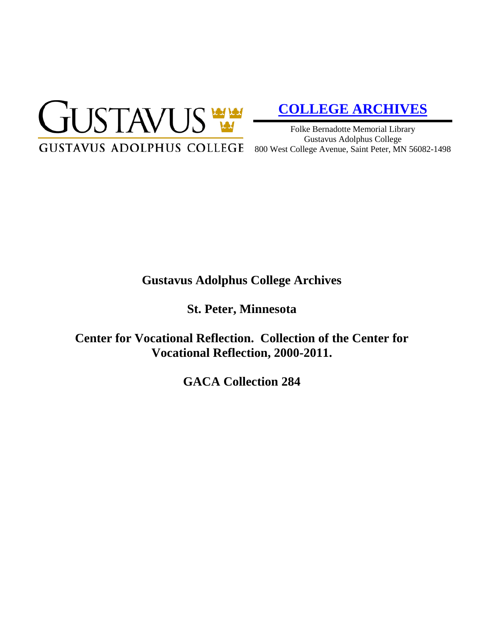

# **[COLLEGE ARCHIVES](http://gustavus.edu/academics/library/archives/)**

Folke Bernadotte Memorial Library Gustavus Adolphus College 800 West College Avenue, Saint Peter, MN 56082-1498

## **Gustavus Adolphus College Archives**

**St. Peter, Minnesota**

**Center for Vocational Reflection. Collection of the Center for Vocational Reflection, 2000-2011.**

**GACA Collection 284**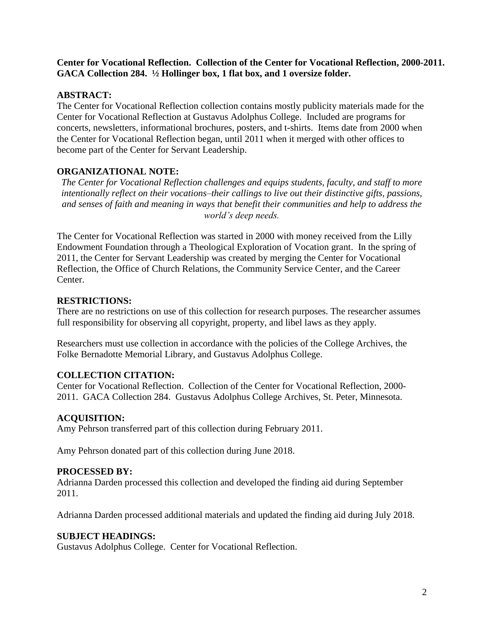**Center for Vocational Reflection. Collection of the Center for Vocational Reflection, 2000-2011. GACA Collection 284. ½ Hollinger box, 1 flat box, and 1 oversize folder.**

### **ABSTRACT:**

The Center for Vocational Reflection collection contains mostly publicity materials made for the Center for Vocational Reflection at Gustavus Adolphus College. Included are programs for concerts, newsletters, informational brochures, posters, and t-shirts. Items date from 2000 when the Center for Vocational Reflection began, until 2011 when it merged with other offices to become part of the Center for Servant Leadership.

#### **ORGANIZATIONAL NOTE:**

*The Center for Vocational Reflection challenges and equips students, faculty, and staff to more intentionally reflect on their vocations–their callings to live out their distinctive gifts, passions, and senses of faith and meaning in ways that benefit their communities and help to address the world's deep needs.*

The Center for Vocational Reflection was started in 2000 with money received from the Lilly Endowment Foundation through a Theological Exploration of Vocation grant. In the spring of 2011, the Center for Servant Leadership was created by merging the Center for Vocational Reflection, the Office of Church Relations, the Community Service Center, and the Career Center.

#### **RESTRICTIONS:**

There are no restrictions on use of this collection for research purposes. The researcher assumes full responsibility for observing all copyright, property, and libel laws as they apply.

Researchers must use collection in accordance with the policies of the College Archives, the Folke Bernadotte Memorial Library, and Gustavus Adolphus College.

#### **COLLECTION CITATION:**

Center for Vocational Reflection. Collection of the Center for Vocational Reflection, 2000- 2011. GACA Collection 284. Gustavus Adolphus College Archives, St. Peter, Minnesota.

#### **ACQUISITION:**

Amy Pehrson transferred part of this collection during February 2011.

Amy Pehrson donated part of this collection during June 2018.

#### **PROCESSED BY:**

Adrianna Darden processed this collection and developed the finding aid during September 2011.

Adrianna Darden processed additional materials and updated the finding aid during July 2018.

#### **SUBJECT HEADINGS:**

Gustavus Adolphus College. Center for Vocational Reflection.